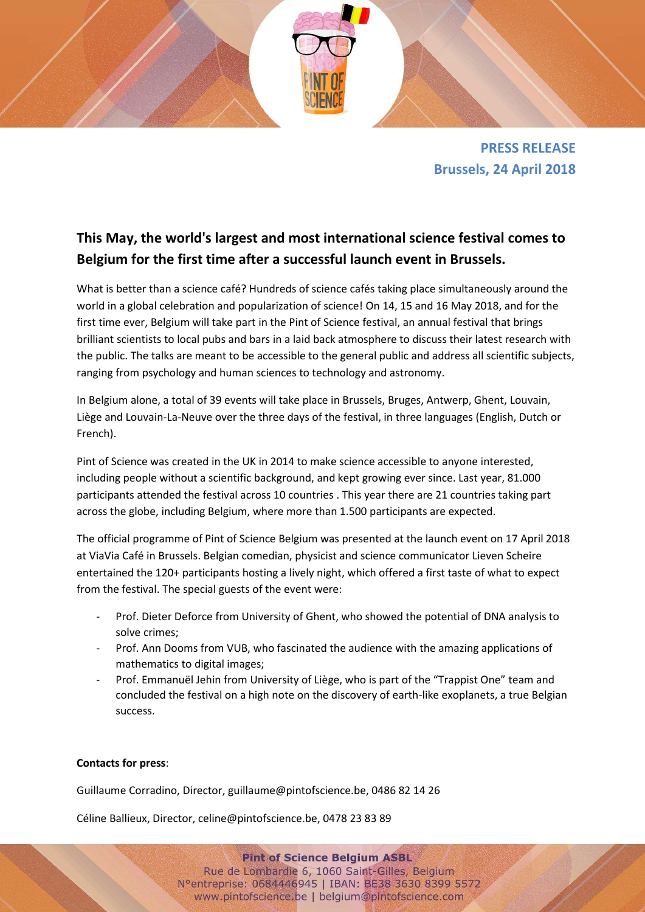

**PRESS RELEASE Brussels, 24 April 2018**

## **This May, the world's largest and most international science festival comes to Belgium for the first time after a successful launch event in Brussels.**

What is better than a science café? Hundreds of science cafés taking place simultaneously around the world in a global celebration and popularization of science! On 14, 15 and 16 May 2018, and for the first time ever, Belgium will take part in the Pint of Science festival, an annual festival that brings brilliant scientists to local pubs and bars in a laid back atmosphere to discuss their latest research with the public. The talks are meant to be accessible to the general public and address all scientific subjects, ranging from psychology and human sciences to technology and astronomy.

In Belgium alone, a total of 39 events will take place in Brussels, Bruges, Antwerp, Ghent, Louvain, Liège and Louvain-La-Neuve over the three days of the festival, in three languages (English, Dutch or French).

Pint of Science was created in the UK in 2014 to make science accessible to anyone interested, including people without a scientific background, and kept growing ever since. Last year, 81.000 participants attended the festival across 10 countries . This year there are 21 countries taking part across the globe, including Belgium, where more than 1.500 participants are expected.

The official programme of Pint of Science Belgium was presented at the launch event on 17 April 2018 at ViaVia Café in Brussels. Belgian comedian, physicist and science communicator Lieven Scheire entertained the 120+ participants hosting a lively night, which offered a first taste of what to expect from the festival. The special guests of the event were:

- Prof. Dieter Deforce from University of Ghent, who showed the potential of DNA analysis to solve crimes;
- Prof. Ann Dooms from VUB, who fascinated the audience with the amazing applications of mathematics to digital images;
- Prof. Emmanuël Jehin from University of Liège, who is part of the "Trappist One" team and concluded the festival on a high note on the discovery of earth-like exoplanets, a true Belgian success.

## **Contacts for press**:

Guillaume Corradino, Director, guillaume@pintofscience.be, 0486 82 14 26

Céline Ballieux, Director, celine@pintofscience.be, 0478 23 83 89

**Pint of Science Belgium ASBL** Rue de Lombardie 6, 1060 Saint-Gilles, Belgium N°entreprise: 0684446945 | IBAN: BE38 3630 8399 5572 www.pintofscience.be | belgium@pintofscience.com